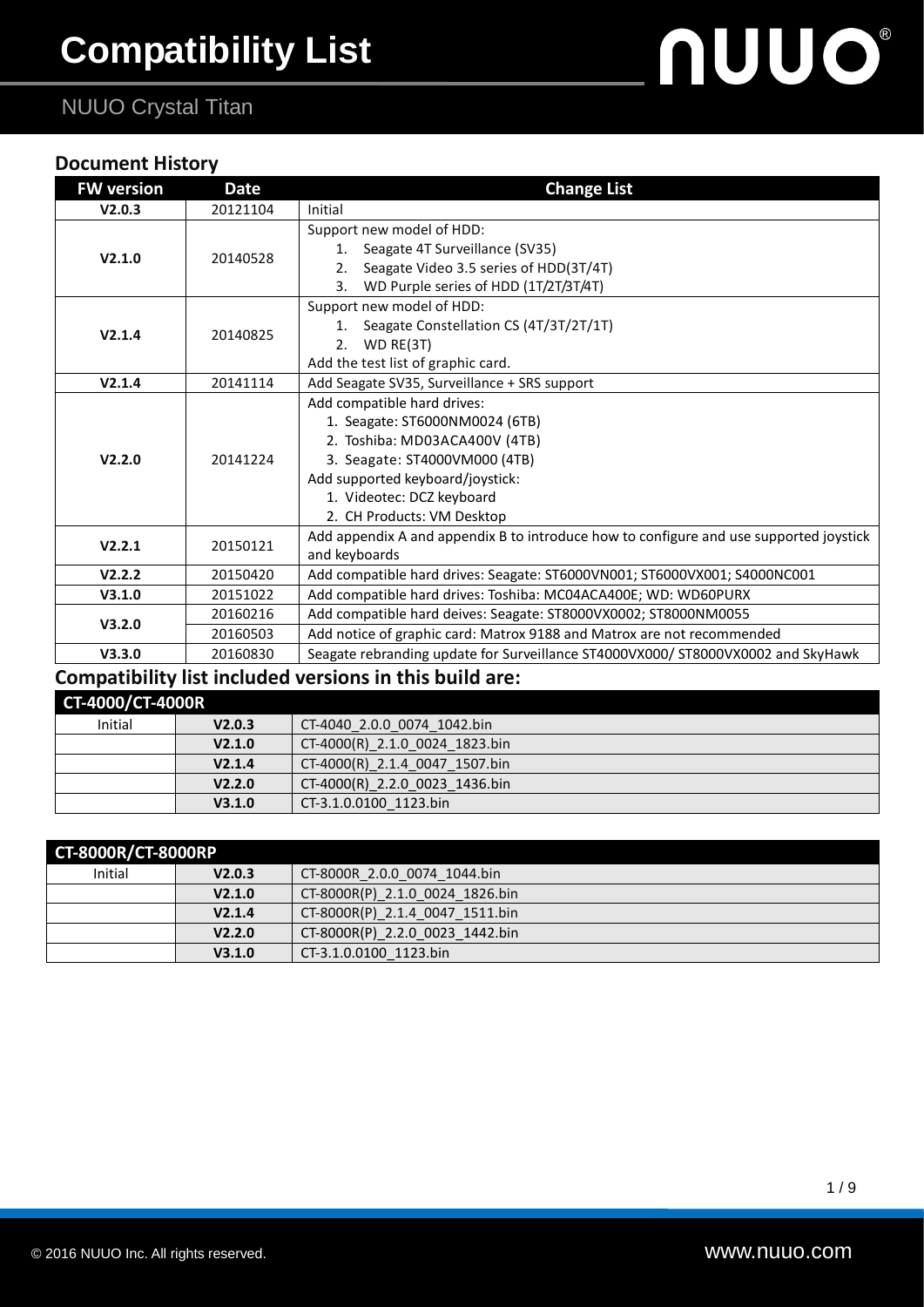## NUUO Crystal Titan

#### **Document History**

| <b>FW version</b> | <b>Date</b>          | <b>Change List</b>                                                                                                                                                                                                             |
|-------------------|----------------------|--------------------------------------------------------------------------------------------------------------------------------------------------------------------------------------------------------------------------------|
| V2.0.3            | 20121104             | Initial                                                                                                                                                                                                                        |
| V2.1.0            | 20140528             | Support new model of HDD:<br>Seagate 4T Surveillance (SV35)<br>1.<br>Seagate Video 3.5 series of HDD(3T/4T)<br>2.<br>WD Purple series of HDD (1T/2T/3T/4T)<br>3.                                                               |
| V2.1.4            | 20140825             | Support new model of HDD:<br>1. Seagate Constellation CS (4T/3T/2T/1T)<br>2. WD RE(3T)<br>Add the test list of graphic card.                                                                                                   |
| V2.1.4            | 20141114             | Add Seagate SV35, Surveillance + SRS support                                                                                                                                                                                   |
| V2.2.0            | 20141224             | Add compatible hard drives:<br>1. Seagate: ST6000NM0024 (6TB)<br>2. Toshiba: MD03ACA400V (4TB)<br>3. Seagate: ST4000VM000 (4TB)<br>Add supported keyboard/joystick:<br>1. Videotec: DCZ keyboard<br>2. CH Products: VM Desktop |
| V2.2.1            | 20150121             | Add appendix A and appendix B to introduce how to configure and use supported joystick<br>and keyboards                                                                                                                        |
| V2.2.2            | 20150420             | Add compatible hard drives: Seagate: ST6000VN001; ST6000VX001; S4000NC001                                                                                                                                                      |
| V3.1.0            | 20151022             | Add compatible hard drives: Toshiba: MC04ACA400E; WD: WD60PURX                                                                                                                                                                 |
| V3.2.0            | 20160216<br>20160503 | Add compatible hard deives: Seagate: ST8000VX0002; ST8000NM0055<br>Add notice of graphic card: Matrox 9188 and Matrox are not recommended                                                                                      |
| V3.3.0            | 20160830             | Seagate rebranding update for Surveillance ST4000VX000/ ST8000VX0002 and SkyHawk                                                                                                                                               |
|                   |                      | Compatibility list included versions in this build are:                                                                                                                                                                        |

| CT-4000/CT-4000R |                    |                                |
|------------------|--------------------|--------------------------------|
| Initial          | V2.0.3             | CT-4040 2.0.0 0074 1042.bin    |
|                  | V2.1.0             | CT-4000(R) 2.1.0 0024 1823.bin |
|                  | V2.1.4             | CT-4000(R) 2.1.4 0047 1507.bin |
|                  | V <sub>2.2.0</sub> | CT-4000(R) 2.2.0 0023 1436.bin |
|                  | V3.1.0             | CT-3.1.0.0100 1123.bin         |

| <b>CT-8000R/CT-8000RP</b> |        |                                 |
|---------------------------|--------|---------------------------------|
| Initial                   | V2.0.3 | CT-8000R 2.0.0 0074 1044.bin    |
|                           | V2.1.0 | CT-8000R(P) 2.1.0 0024 1826.bin |
|                           | V2.1.4 | CT-8000R(P) 2.1.4 0047 1511.bin |
|                           | V2.2.0 | CT-8000R(P) 2.2.0 0023 1442.bin |
|                           | V3.1.0 | CT-3.1.0.0100 1123.bin          |

nuuo®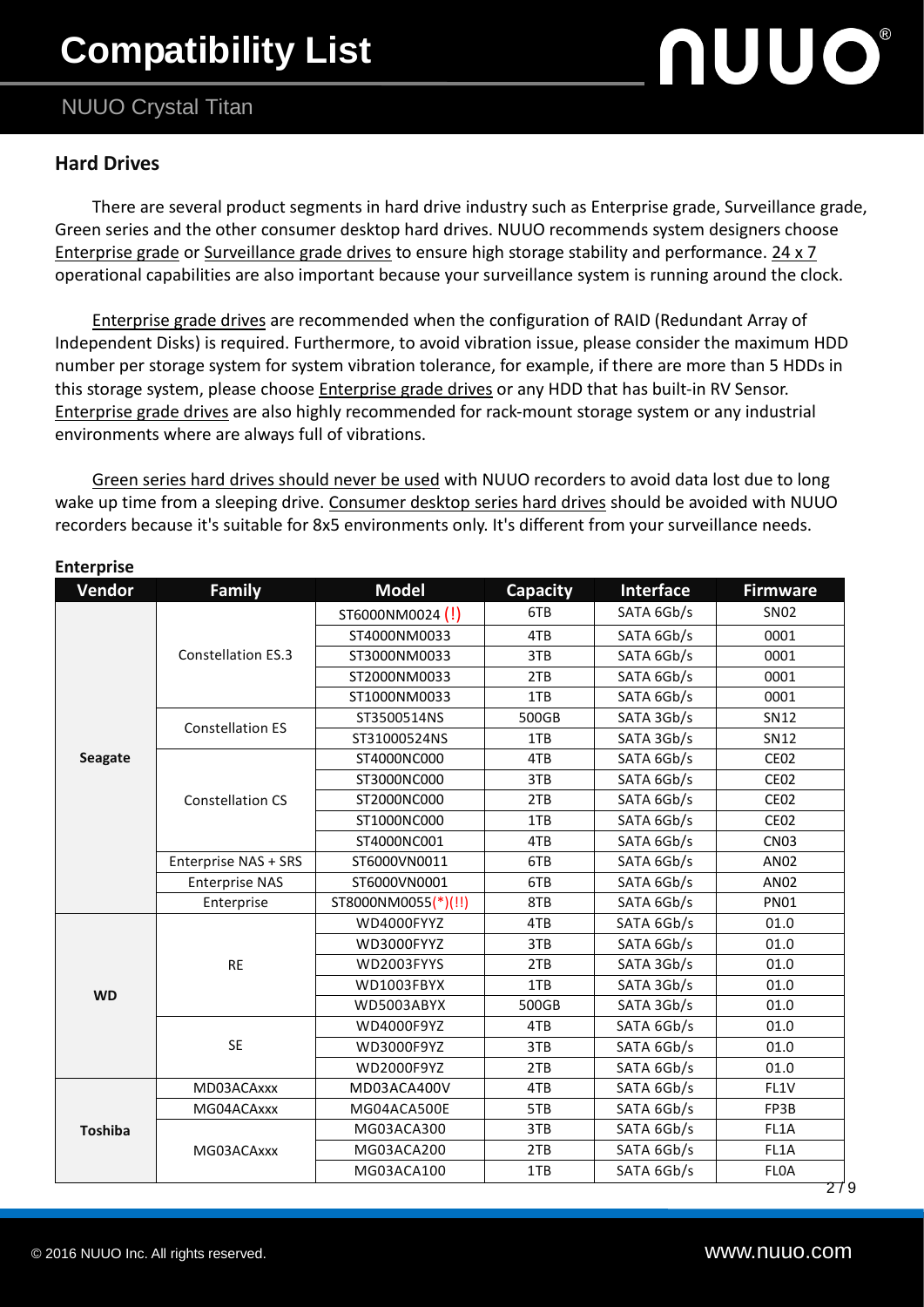# **Compatibility List**

### NUUO Crystal Titan

#### **Hard Drives**

 There are several product segments in hard drive industry such as Enterprise grade, Surveillance grade, Green series and the other consumer desktop hard drives. NUUO recommends system designers choose Enterprise grade or Surveillance grade drives to ensure high storage stability and performance. 24 x 7 operational capabilities are also important because your surveillance system is running around the clock.

Enterprise grade drives are recommended when the configuration of RAID (Redundant Array of Independent Disks) is required. Furthermore, to avoid vibration issue, please consider the maximum HDD number per storage system for system vibration tolerance, for example, if there are more than 5 HDDs in this storage system, please choose Enterprise grade drives or any HDD that has built-in RV Sensor. Enterprise grade drives are also highly recommended for rack-mount storage system or any industrial environments where are always full of vibrations.

Green series hard drives should never be used with NUUO recorders to avoid data lost due to long wake up time from a sleeping drive. Consumer desktop series hard drives should be avoided with NUUO recorders because it's suitable for 8x5 environments only. It's different from your surveillance needs.

| Vendor         | Family                    | <b>Model</b>        | <b>Capacity</b> | Interface  | <b>Firmware</b>  |
|----------------|---------------------------|---------------------|-----------------|------------|------------------|
|                |                           | ST6000NM0024 (!)    | 6TB             |            | <b>SN02</b>      |
|                |                           | ST4000NM0033<br>4TB |                 | SATA 6Gb/s | 0001             |
|                | <b>Constellation ES.3</b> | ST3000NM0033        | 3TB             | SATA 6Gb/s | 0001             |
|                |                           | ST2000NM0033        | 2TB             | SATA 6Gb/s | 0001             |
|                |                           | ST1000NM0033        | 1TB             | SATA 6Gb/s | 0001             |
|                | <b>Constellation ES</b>   | ST3500514NS         | 500GB           | SATA 3Gb/s | <b>SN12</b>      |
|                |                           | ST31000524NS        | 1TB             | SATA 3Gb/s | <b>SN12</b>      |
| Seagate        |                           | ST4000NC000         | 4TB             | SATA 6Gb/s | <b>CE02</b>      |
|                |                           | ST3000NC000         | 3TB             | SATA 6Gb/s | CE <sub>02</sub> |
|                | <b>Constellation CS</b>   | ST2000NC000         | 2TB             | SATA 6Gb/s | <b>CE02</b>      |
|                |                           | ST1000NC000         | 1TB             | SATA 6Gb/s | <b>CE02</b>      |
|                |                           | ST4000NC001         | 4TB             | SATA 6Gb/s | <b>CN03</b>      |
|                | Enterprise NAS + SRS      | ST6000VN0011        | 6TB             | SATA 6Gb/s | AN02             |
|                | <b>Enterprise NAS</b>     | ST6000VN0001        | 6TB             | SATA 6Gb/s | AN02             |
|                | Enterprise                | ST8000NM0055(*)(!!) | 8TB             | SATA 6Gb/s | <b>PN01</b>      |
|                |                           | WD4000FYYZ          | 4TB             | SATA 6Gb/s | 01.0             |
|                | <b>RE</b>                 | WD3000FYYZ          | 3TB             | SATA 6Gb/s | 01.0             |
|                |                           | WD2003FYYS          | 2TB             | SATA 3Gb/s | 01.0             |
| <b>WD</b>      |                           | WD1003FBYX          | 1TB             | SATA 3Gb/s | 01.0             |
|                |                           | WD5003ABYX          | 500GB           | SATA 3Gb/s | 01.0             |
|                |                           | WD4000F9YZ          | 4TB             | SATA 6Gb/s | 01.0             |
|                | <b>SE</b>                 | WD3000F9YZ          | 3TB             | SATA 6Gb/s | 01.0             |
|                |                           | WD2000F9YZ          | 2TB             | SATA 6Gb/s | 01.0             |
|                | MD03ACAxxx                | MD03ACA400V         | 4TB             | SATA 6Gb/s | FL1V             |
|                | MG04ACAxxx                | MG04ACA500E         | 5TB             | SATA 6Gb/s | FP3B             |
| <b>Toshiba</b> |                           | MG03ACA300          | 3TB             | SATA 6Gb/s | FL1A             |
|                | MG03ACAxxx                | MG03ACA200          | 2TB             | SATA 6Gb/s | FL1A             |
|                |                           | MG03ACA100          | 1TB             | SATA 6Gb/s | <b>FLOA</b>      |

#### **Enterprise**

# **NUUO®**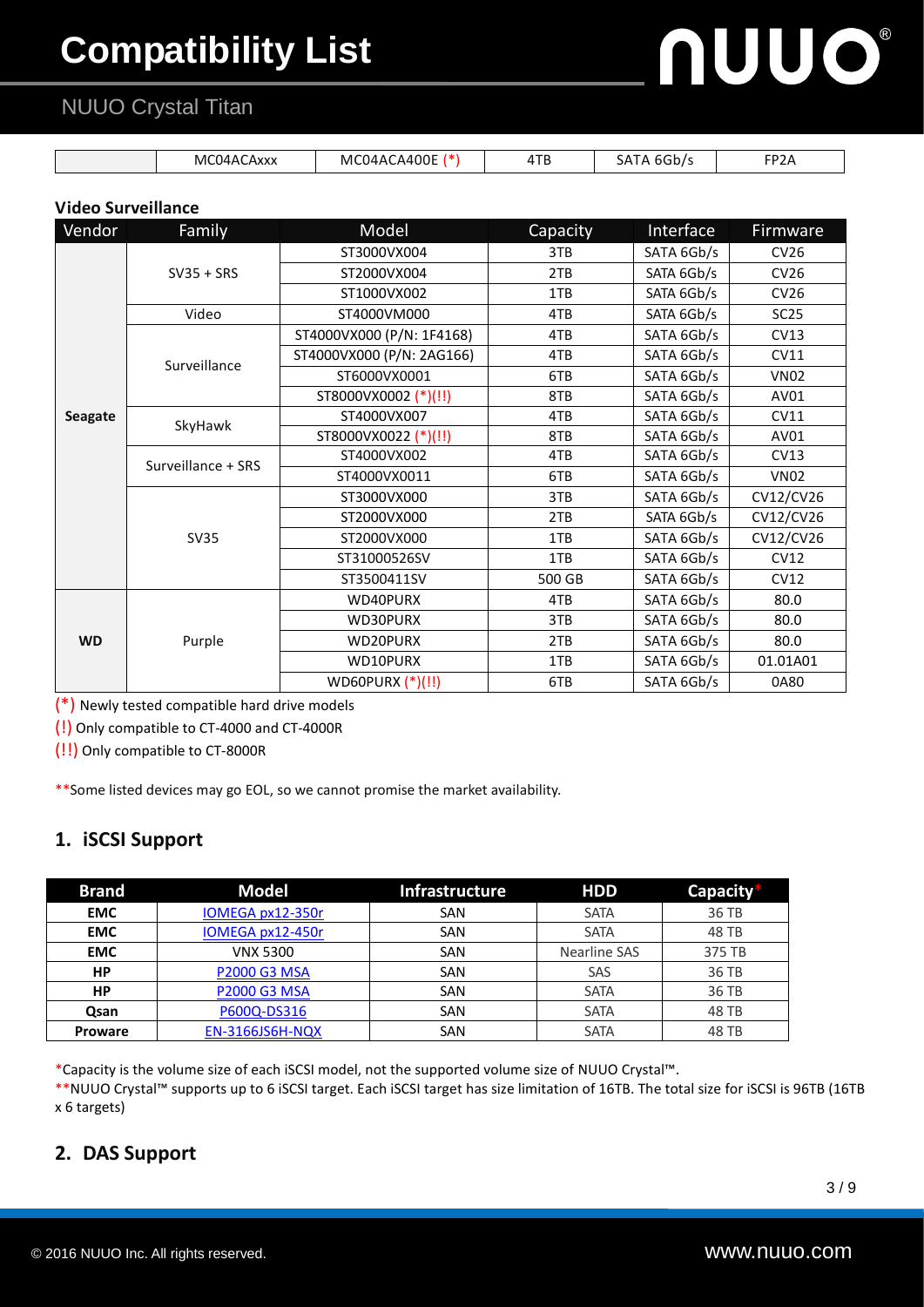# **Compatibility List**

## NUUO Crystal Titan

| MC04,<br>، ۱۵ ۱۵<br>ACAXXX | A400E<br>MC.<br>1 ) 4 A ( | 4TB | $\sim$<br>$\cdot$ $\mu$<br>nı<br>۶۳ | FP <sub>2</sub> A |
|----------------------------|---------------------------|-----|-------------------------------------|-------------------|

#### **Video Surveillance**

| Vendor         | Family             | Model                     | Capacity | Interface  | Firmware         |
|----------------|--------------------|---------------------------|----------|------------|------------------|
|                |                    | ST3000VX004               | 3TB      | SATA 6Gb/s | CV26             |
|                | $SV35 + SRS$       | ST2000VX004               | 2TB      | SATA 6Gb/s | CV26             |
|                |                    | ST1000VX002               | 1TB      | SATA 6Gb/s | CV26             |
|                | Video              | ST4000VM000               | 4TB      | SATA 6Gb/s | SC <sub>25</sub> |
|                |                    | ST4000VX000 (P/N: 1F4168) | 4TB      | SATA 6Gb/s | CV13             |
|                | Surveillance       | ST4000VX000 (P/N: 2AG166) | 4TB      | SATA 6Gb/s | CV11             |
|                |                    | ST6000VX0001              | 6TB      | SATA 6Gb/s | <b>VN02</b>      |
|                |                    | ST8000VX0002 (*)(!!)      | 8TB      | SATA 6Gb/s | AV01             |
| <b>Seagate</b> | SkyHawk            | ST4000VX007               | 4TB      | SATA 6Gb/s | CV11             |
|                |                    | ST8000VX0022 (*)(!!)      | 8TB      | SATA 6Gb/s | AV01             |
|                | Surveillance + SRS | ST4000VX002               | 4TB      | SATA 6Gb/s | CV13             |
|                |                    | ST4000VX0011              | 6TB      | SATA 6Gb/s | <b>VN02</b>      |
|                | <b>SV35</b>        | ST3000VX000               | 3TB      | SATA 6Gb/s | CV12/CV26        |
|                |                    | ST2000VX000               | 2TB      | SATA 6Gb/s | CV12/CV26        |
|                |                    | ST2000VX000               | 1TB      | SATA 6Gb/s | CV12/CV26        |
|                |                    | ST31000526SV              | 1TB      | SATA 6Gb/s | CV12             |
|                |                    | ST3500411SV               | 500 GB   | SATA 6Gb/s | <b>CV12</b>      |
|                |                    | WD40PURX                  | 4TB      | SATA 6Gb/s | 80.0             |
|                |                    | WD30PURX                  | 3TB      | SATA 6Gb/s | 80.0             |
| <b>WD</b>      | Purple             | WD20PURX                  | 2TB      | SATA 6Gb/s | 80.0             |
|                |                    | WD10PURX                  | 1TB      | SATA 6Gb/s | 01.01A01         |
|                |                    | WD60PURX (*)(!!)          | 6TB      | SATA 6Gb/s | 0A80             |

(\*) Newly tested compatible hard drive models

(!) Only compatible to CT-4000 and CT-4000R

(!!) Only compatible to CT-8000R

\*\*Some listed devices may go EOL, so we cannot promise the market availability.

#### **1. iSCSI Support**

| <b>Brand</b>   | <b>Model</b>           | <b>Infrastructure</b> | <b>HDD</b>   | Capacity |
|----------------|------------------------|-----------------------|--------------|----------|
| <b>EMC</b>     | IOMEGA px12-350r       | SAN                   | <b>SATA</b>  | 36 TB    |
| <b>EMC</b>     | IOMEGA px12-450r       | SAN                   | <b>SATA</b>  | 48 TB    |
| <b>EMC</b>     | <b>VNX 5300</b>        | SAN                   | Nearline SAS | 375 TB   |
| HP             | <b>P2000 G3 MSA</b>    | SAN                   | SAS          | 36 TB    |
| HP             | <b>P2000 G3 MSA</b>    | SAN                   | <b>SATA</b>  | 36 TB    |
| <b>Qsan</b>    | P600Q-DS316            | SAN                   | <b>SATA</b>  | 48 TB    |
| <b>Proware</b> | <b>EN-3166JS6H-NQX</b> | SAN                   | <b>SATA</b>  | 48 TB    |

\*Capacity is the volume size of each iSCSI model, not the supported volume size of NUUO Crystal™.

\*\*NUUO Crystal™ supports up to 6 iSCSI target. Each iSCSI target has size limitation of 16TB. The total size for iSCSI is 96TB (16TB x 6 targets)

#### **2. DAS Support**

**NUUO®**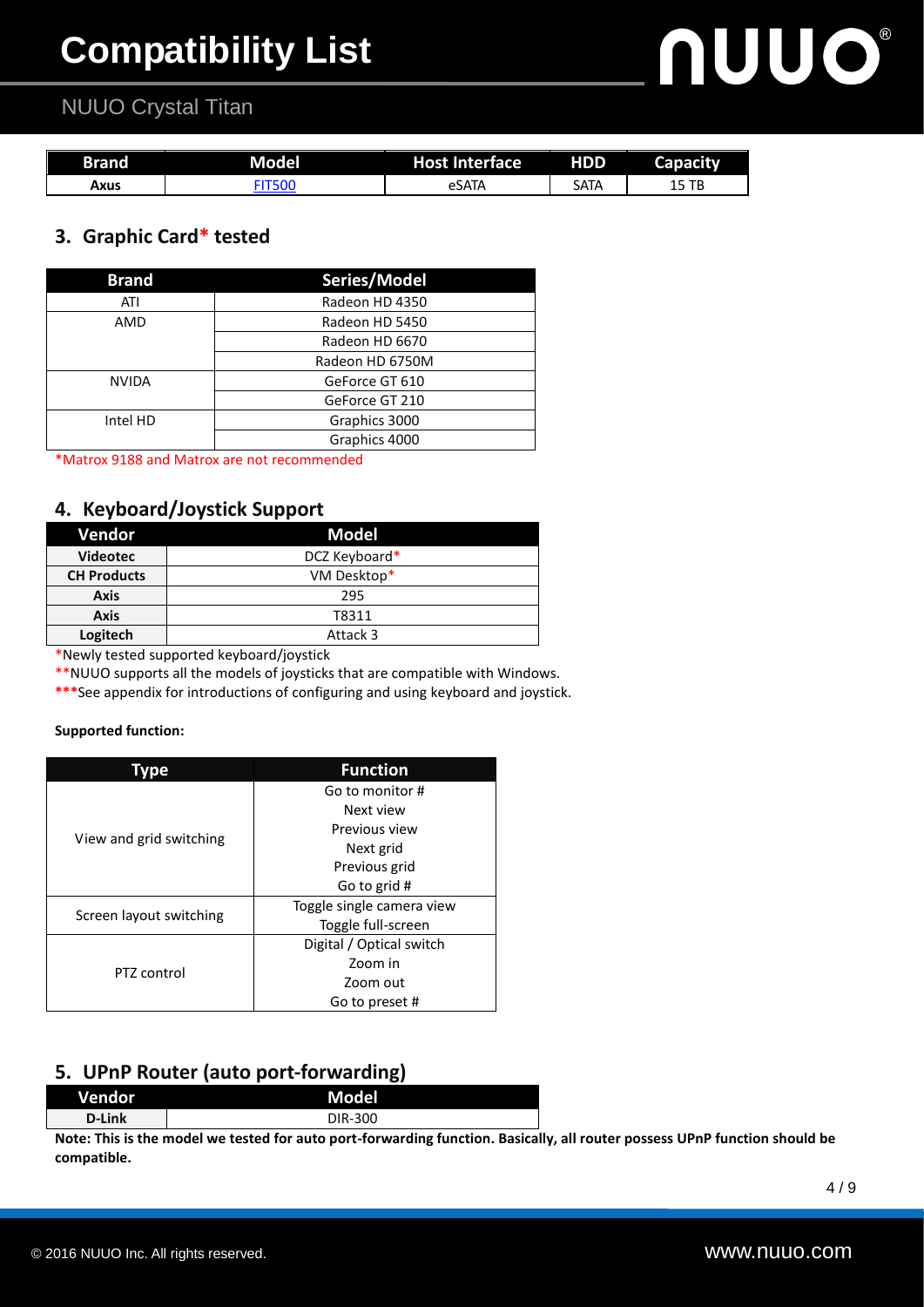# **NUUO®**

### NUUO Crystal Titan

| <b>Brand</b> | Model | <b>Host Interface</b> | <b>HDD</b> | <b>Capacity</b> |
|--------------|-------|-----------------------|------------|-----------------|
| Axus         |       | eSATA                 | Sata       | ТB              |

#### **3. Graphic Card\* tested**

| <b>Brand</b> | Series/Model    |
|--------------|-----------------|
| ATI          | Radeon HD 4350  |
| AMD          | Radeon HD 5450  |
|              | Radeon HD 6670  |
|              | Radeon HD 6750M |
| <b>NVIDA</b> | GeForce GT 610  |
|              | GeForce GT 210  |
| Intel HD     | Graphics 3000   |
|              | Graphics 4000   |

\*Matrox 9188 and Matrox are not recommended

#### **4. Keyboard/Joystick Support**

| Vendor             | Model         |
|--------------------|---------------|
| <b>Videotec</b>    | DCZ Keyboard* |
| <b>CH Products</b> | VM Desktop*   |
| <b>Axis</b>        | 295           |
| <b>Axis</b>        | T8311         |
| Logitech           | Attack 3      |

\*Newly tested supported keyboard/joystick

\*\*NUUO supports all the models of joysticks that are compatible with Windows.

**\*\*\***See appendix for introductions of configuring and using keyboard and joystick.

#### **Supported function:**

| Type                    | <b>Function</b>           |  |  |  |
|-------------------------|---------------------------|--|--|--|
|                         | Go to monitor #           |  |  |  |
|                         | Next view                 |  |  |  |
| View and grid switching | Previous view             |  |  |  |
|                         | Next grid                 |  |  |  |
|                         | Previous grid             |  |  |  |
|                         | Go to grid #              |  |  |  |
|                         | Toggle single camera view |  |  |  |
| Screen layout switching | Toggle full-screen        |  |  |  |
|                         | Digital / Optical switch  |  |  |  |
| PT7 control             | Zoom in                   |  |  |  |
|                         | Zoom out                  |  |  |  |
|                         | Go to preset #            |  |  |  |

#### **5. UPnP Router (auto port-forwarding)**

| Vendor    |     |   | <b>Model</b> |  |               |  |
|-----------|-----|---|--------------|--|---------------|--|
| D-Link    |     |   | DIR-300      |  |               |  |
| .<br>---- | . . | . | . .          |  | $\sim$ $\sim$ |  |

**Note: This is the model we tested for auto port-forwarding function. Basically, all router possess UPnP function should be compatible.**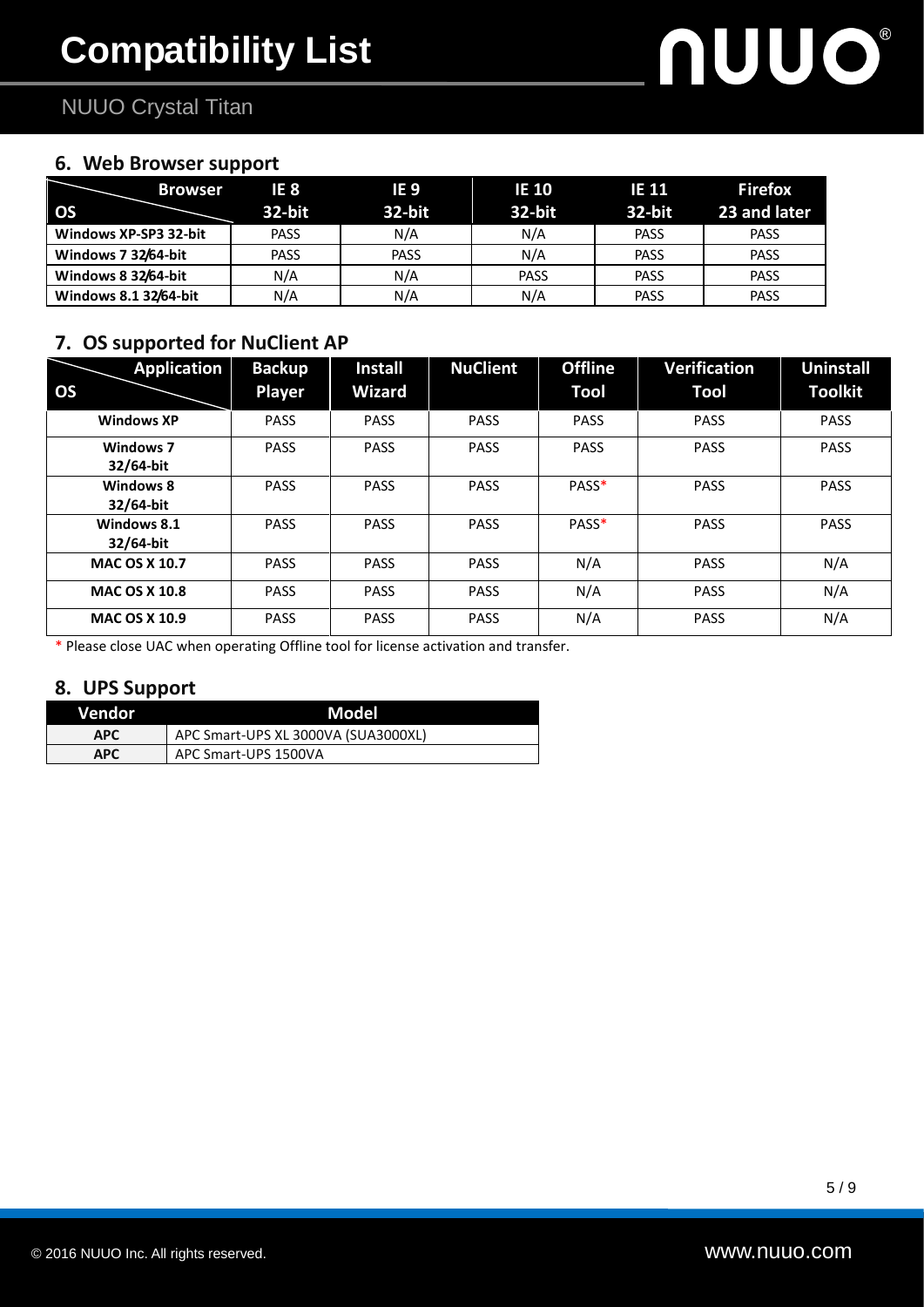## NUUO Crystal Titan

#### **6. Web Browser support**

| <b>Browser</b>        | IE 8        | IE 9        | <b>IE 10</b> | <b>IE 11</b> | <b>Firefox</b> |
|-----------------------|-------------|-------------|--------------|--------------|----------------|
| OS                    | 32-bit      | 32-bit      | 32-bit       | 32-bit       | 23 and later   |
| Windows XP-SP3 32-bit | <b>PASS</b> | N/A         | N/A          | <b>PASS</b>  | <b>PASS</b>    |
| Windows 7 32/64-bit   | <b>PASS</b> | <b>PASS</b> | N/A          | <b>PASS</b>  | <b>PASS</b>    |
| Windows 8 32/64-bit   | N/A         | N/A         | <b>PASS</b>  | <b>PASS</b>  | <b>PASS</b>    |
| Windows 8.1 32/64-bit | N/A         | N/A         | N/A          | <b>PASS</b>  | <b>PASS</b>    |

#### **7. OS supported for NuClient AP**

| <b>Application</b>            | <b>Backup</b> | <b>Install</b> | <b>NuClient</b> | <b>Offline</b> | <b>Verification</b> | <b>Uninstall</b> |
|-------------------------------|---------------|----------------|-----------------|----------------|---------------------|------------------|
| <b>OS</b>                     | <b>Player</b> | Wizard         |                 | Tool           | Tool                | <b>Toolkit</b>   |
| <b>Windows XP</b>             | <b>PASS</b>   | <b>PASS</b>    | <b>PASS</b>     | <b>PASS</b>    | <b>PASS</b>         | <b>PASS</b>      |
| <b>Windows 7</b><br>32/64-bit | <b>PASS</b>   | <b>PASS</b>    | <b>PASS</b>     | <b>PASS</b>    | <b>PASS</b>         | <b>PASS</b>      |
| Windows 8<br>32/64-bit        | <b>PASS</b>   | <b>PASS</b>    | <b>PASS</b>     | PASS*          | <b>PASS</b>         | <b>PASS</b>      |
| Windows 8.1<br>32/64-bit      | <b>PASS</b>   | <b>PASS</b>    | <b>PASS</b>     | PASS*          | <b>PASS</b>         | <b>PASS</b>      |
| <b>MAC OS X 10.7</b>          | <b>PASS</b>   | <b>PASS</b>    | <b>PASS</b>     | N/A            | <b>PASS</b>         | N/A              |
| <b>MAC OS X 10.8</b>          | <b>PASS</b>   | <b>PASS</b>    | <b>PASS</b>     | N/A            | <b>PASS</b>         | N/A              |
| <b>MAC OS X 10.9</b>          | <b>PASS</b>   | <b>PASS</b>    | <b>PASS</b>     | N/A            | <b>PASS</b>         | N/A              |

\* Please close UAC when operating Offline tool for license activation and transfer.

#### **8. UPS Support**

| Vendor     | Model                               |  |
|------------|-------------------------------------|--|
| APC        | APC Smart-UPS XL 3000VA (SUA3000XL) |  |
| <b>APC</b> | APC Smart-UPS 1500VA                |  |

nuuo®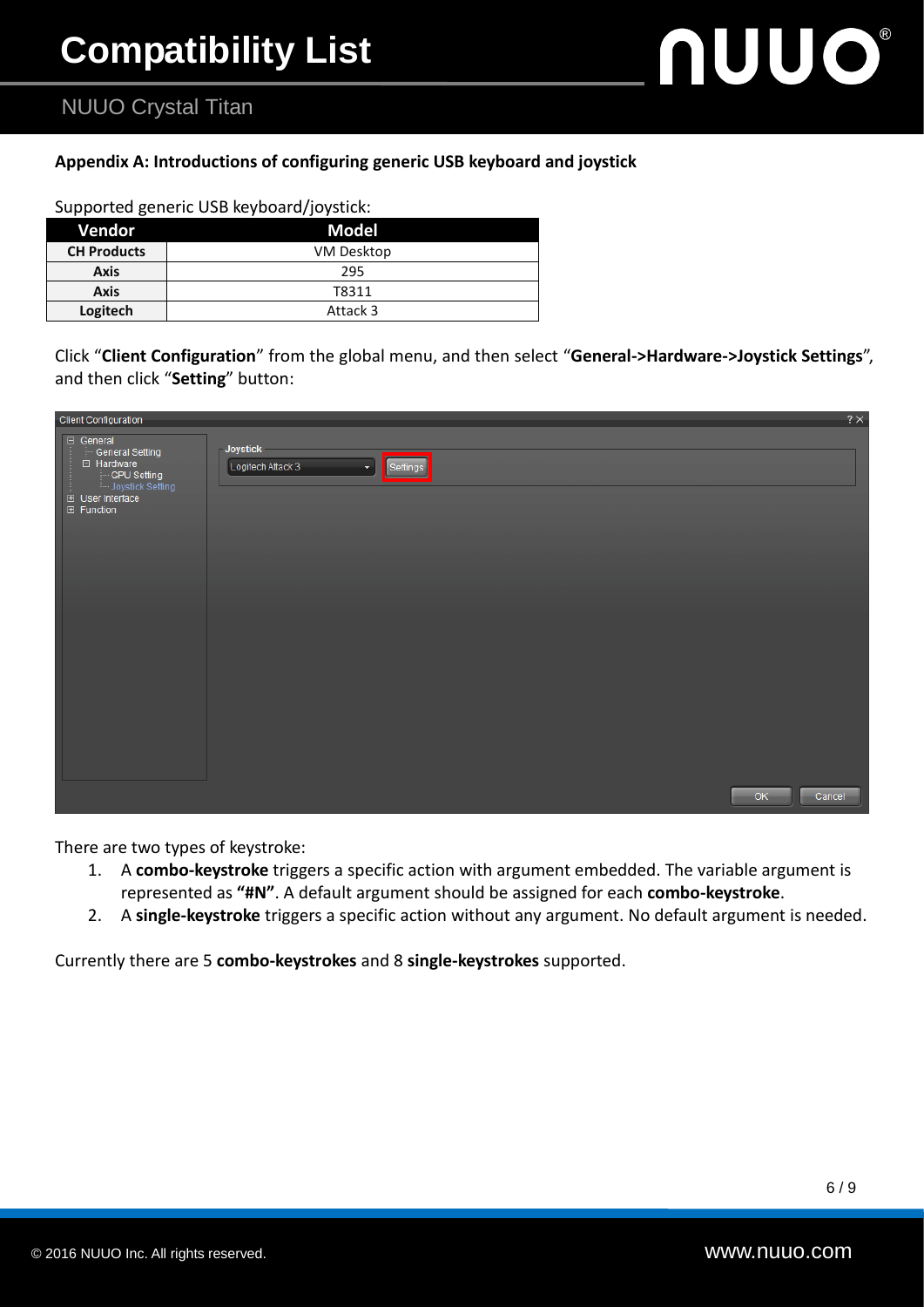# **NUUO®**

### NUUO Crystal Titan

#### **Appendix A: Introductions of configuring generic USB keyboard and joystick**

| Vendor             | <b>Model</b> |
|--------------------|--------------|
| <b>CH Products</b> | VM Desktop   |
| <b>Axis</b>        | 295          |
| Axis               | T8311        |
| Logitech           | Attack 3     |

| Click "Client Configuration" from the global menu, and then select "General->Hardware->Joystick Settings", |  |
|------------------------------------------------------------------------------------------------------------|--|
| and then click "Setting" button:                                                                           |  |

| <b>Client Configuration</b>                                                                                      |                                                                            | $2\times$ |
|------------------------------------------------------------------------------------------------------------------|----------------------------------------------------------------------------|-----------|
| □ General<br>General Setting<br>□ Hardware<br>GPU Setting<br>Joystick Setting<br>El User Interface<br>田 Function | <b>Joystick</b><br>Logitech Attack 3<br>Settings<br>$\left  \cdot \right $ |           |
|                                                                                                                  |                                                                            |           |
|                                                                                                                  | OK<br>Cancel                                                               |           |

There are two types of keystroke:

- 1. A **combo-keystroke** triggers a specific action with argument embedded. The variable argument is represented as **"#N"**. A default argument should be assigned for each **combo-keystroke**.
- 2. A **single-keystroke** triggers a specific action without any argument. No default argument is needed.

Currently there are 5 **combo-keystrokes** and 8 **single-keystrokes** supported.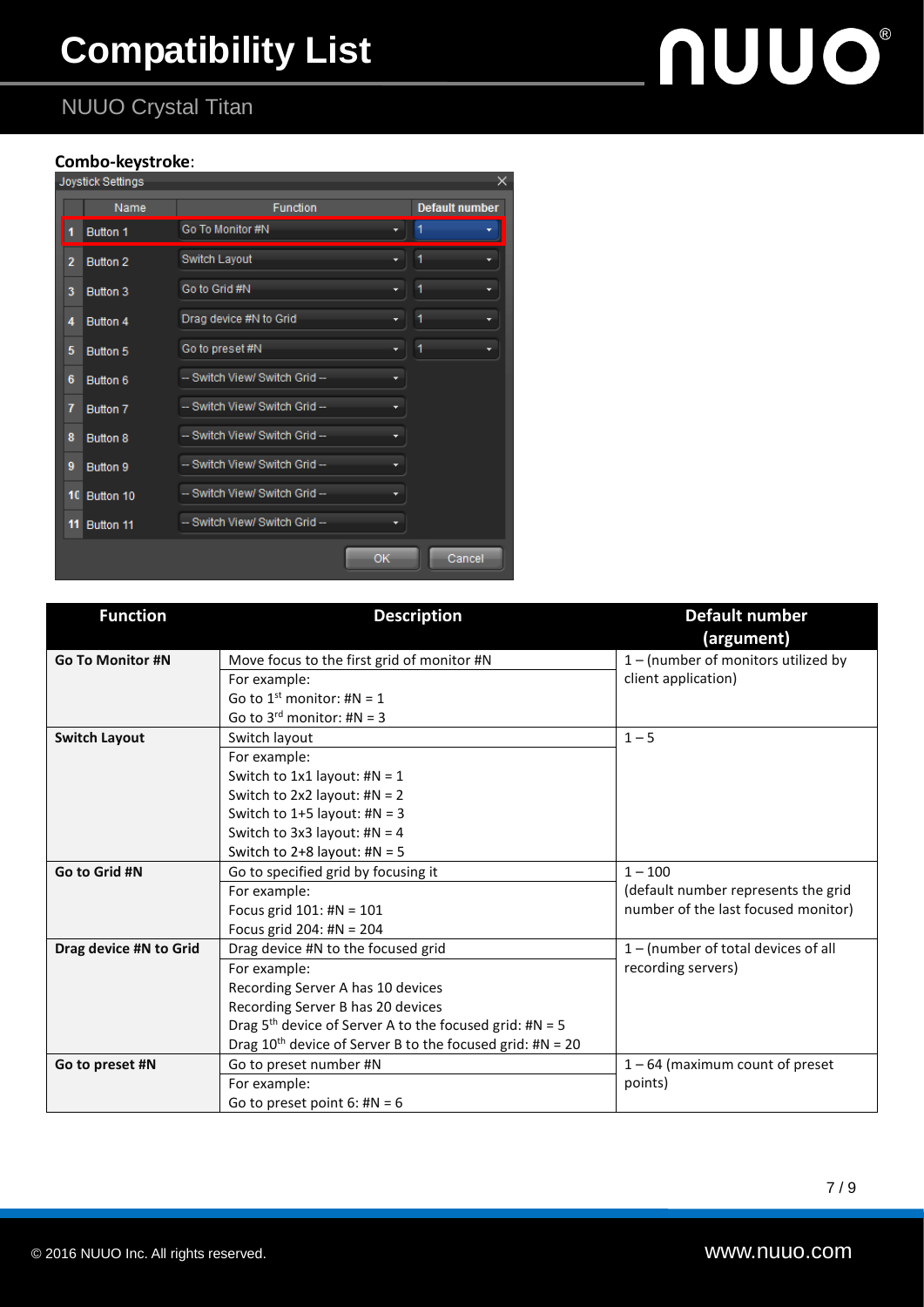# **Compatibility List**

# **NUUO®**

## NUUO Crystal Titan

#### **Combo-keystroke**:

|                |    | Joystick Settings |                                |    | ×.                    |
|----------------|----|-------------------|--------------------------------|----|-----------------------|
|                |    | Name              | Function                       |    | <b>Default number</b> |
| 1              |    | <b>Button 1</b>   | Go To Monitor #N               |    |                       |
| $\overline{2}$ |    | Button 2          | Switch Layout                  |    | 1                     |
| 3              |    | <b>Button 3</b>   | Go to Grid #N                  |    | 1                     |
| 4              |    | Button 4          | Drag device #N to Grid         |    | 1                     |
| 5              |    | Button 5          | Go to preset #N                | ۰  | 1                     |
| 6              |    | Button 6          | -- Switch View/ Switch Grid -- | ۰  |                       |
| 7              |    | Button 7          | -- Switch View/ Switch Grid -- |    |                       |
| 8              |    | <b>Button 8</b>   | -- Switch View/ Switch Grid -- |    |                       |
| 9              |    | Button 9          | -- Switch View/ Switch Grid -- |    |                       |
|                | 10 | Button 10         | -- Switch View/ Switch Grid -- |    |                       |
|                | 11 | <b>Button 11</b>  | -- Switch View/ Switch Grid-   |    |                       |
|                |    |                   |                                | OK | Cancel                |

| <b>Function</b>         | <b>Description</b>                                             | Default number<br>(argument)        |
|-------------------------|----------------------------------------------------------------|-------------------------------------|
| <b>Go To Monitor #N</b> | Move focus to the first grid of monitor #N                     | 1 - (number of monitors utilized by |
|                         | For example:                                                   | client application)                 |
|                         | Go to 1 <sup>st</sup> monitor: #N = 1                          |                                     |
|                         | Go to $3^{rd}$ monitor: #N = 3                                 |                                     |
| <b>Switch Layout</b>    | Switch layout                                                  | $1 - 5$                             |
|                         | For example:                                                   |                                     |
|                         | Switch to $1x1$ layout: $\#N = 1$                              |                                     |
|                         | Switch to $2x2$ layout: $\#N = 2$                              |                                     |
|                         | Switch to $1+5$ layout: $\#N = 3$                              |                                     |
|                         | Switch to 3x3 layout: $\#N = 4$                                |                                     |
|                         | Switch to $2+8$ layout: $\#N = 5$                              |                                     |
| Go to Grid #N           | Go to specified grid by focusing it                            | $1 - 100$                           |
|                         | For example:                                                   | (default number represents the grid |
|                         | Focus grid $101:$ #N = $101$                                   | number of the last focused monitor) |
|                         | Focus grid 204: #N = $204$                                     |                                     |
| Drag device #N to Grid  | Drag device #N to the focused grid                             | 1 - (number of total devices of all |
|                         | For example:                                                   | recording servers)                  |
|                         | Recording Server A has 10 devices                              |                                     |
|                         | Recording Server B has 20 devices                              |                                     |
|                         | Drag $5th$ device of Server A to the focused grid: #N = 5      |                                     |
|                         | Drag $10^{th}$ device of Server B to the focused grid: #N = 20 |                                     |
| Go to preset #N         | Go to preset number #N                                         | $1 - 64$ (maximum count of preset   |
|                         | For example:                                                   | points)                             |
|                         | Go to preset point $6:$ #N = 6                                 |                                     |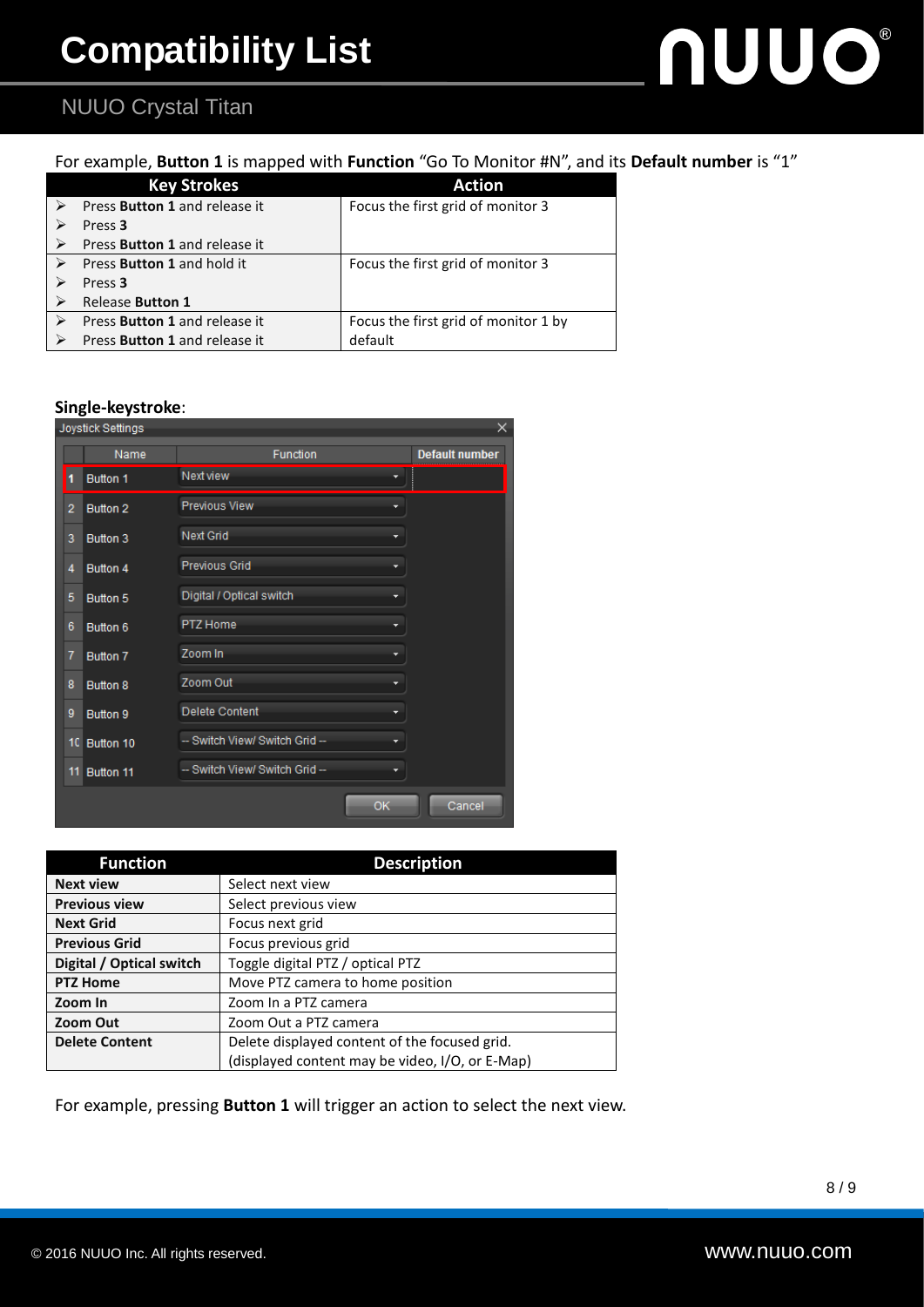# **NUUO®**

### NUUO Crystal Titan

#### For example, **Button 1** is mapped with **Function** "Go To Monitor #N", and its **Default number** is "1"

|   | <b>Key Strokes</b>                | <b>Action</b>                        |
|---|-----------------------------------|--------------------------------------|
|   | Press Button 1 and release it     | Focus the first grid of monitor 3    |
|   | Press <sub>3</sub>                |                                      |
| ➤ | Press Button 1 and release it     |                                      |
| ➤ | Press <b>Button 1</b> and hold it | Focus the first grid of monitor 3    |
|   | Press <sub>3</sub>                |                                      |
|   | <b>Release Button 1</b>           |                                      |
|   | Press Button 1 and release it     | Focus the first grid of monitor 1 by |
|   | Press Button 1 and release it     | default                              |

#### **Single-keystroke**:

|                | Joystick Settings |                                     | x                     |
|----------------|-------------------|-------------------------------------|-----------------------|
|                | Name              | Function                            | <b>Default number</b> |
| $\blacksquare$ | <b>Button 1</b>   | Next view                           |                       |
| $\overline{2}$ | Button 2          | <b>Previous View</b>                |                       |
| 3              | <b>Button 3</b>   | <b>Next Grid</b>                    |                       |
| 4              | Button 4          | <b>Previous Grid</b><br>▼           |                       |
| 5              | Button 5          | Digital / Optical switch<br>▼       |                       |
| 6              | Button 6          | PTZ Home                            |                       |
| 7              | Button 7          | Zoom In                             |                       |
| 8              | <b>Button 8</b>   | Zoom Out                            |                       |
| 9              | Button 9          | Delete Content                      |                       |
| 10.            | Button 10         | -- Switch View/ Switch Grid --<br>▼ |                       |
| 11             | Button 11         | -- Switch View/ Switch Grid --      |                       |
|                |                   | OK                                  | Cancel                |

| <b>Function</b>          | <b>Description</b>                              |  |
|--------------------------|-------------------------------------------------|--|
| <b>Next view</b>         | Select next view                                |  |
| <b>Previous view</b>     | Select previous view                            |  |
| <b>Next Grid</b>         | Focus next grid                                 |  |
| <b>Previous Grid</b>     | Focus previous grid                             |  |
| Digital / Optical switch | Toggle digital PTZ / optical PTZ                |  |
| <b>PTZ Home</b>          | Move PTZ camera to home position                |  |
| Zoom In                  | Zoom In a PTZ camera                            |  |
| Zoom Out                 | Zoom Out a PTZ camera                           |  |
| <b>Delete Content</b>    | Delete displayed content of the focused grid.   |  |
|                          | (displayed content may be video, I/O, or E-Map) |  |

For example, pressing **Button 1** will trigger an action to select the next view.